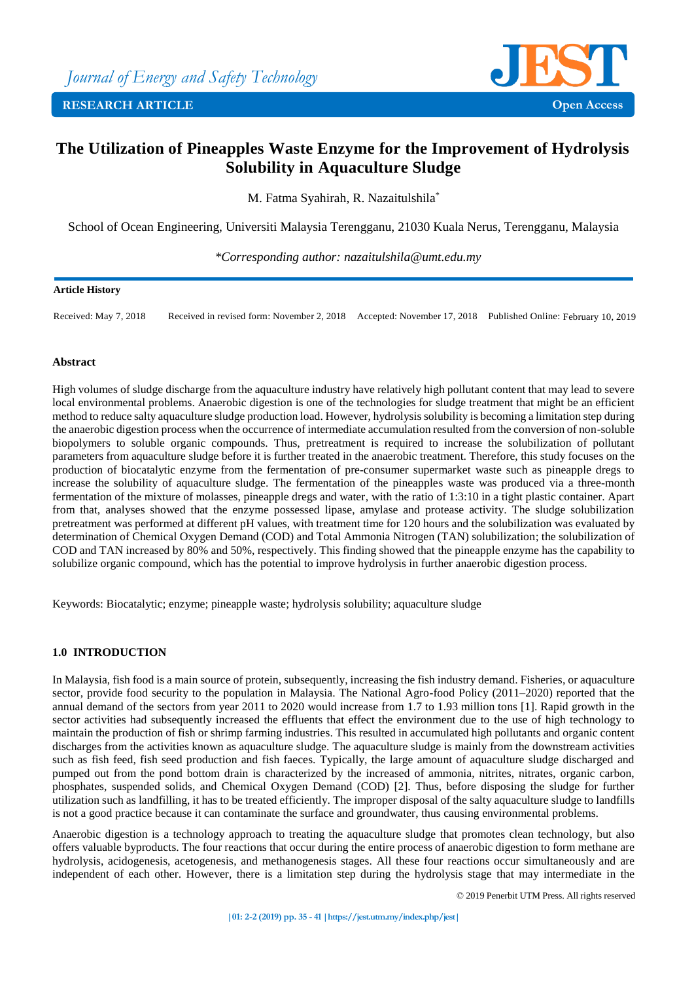

# **The Utilization of Pineapples Waste Enzyme for the Improvement of Hydrolysis Solubility in Aquaculture Sludge**

M. Fatma Syahirah, R. Nazaitulshila\*

School of Ocean Engineering, Universiti Malaysia Terengganu, 21030 Kuala Nerus, Terengganu, Malaysia

*\*Corresponding author: nazaitulshila@umt.edu.my*

### **Article History**

Received: May 7, 2018 Received in revised form: November 2, 2018 Accepted: November 17, 2018 Published Online: February 10, 2019

### **Abstract**

High volumes of sludge discharge from the aquaculture industry have relatively high pollutant content that may lead to severe local environmental problems. Anaerobic digestion is one of the technologies for sludge treatment that might be an efficient method to reduce salty aquaculture sludge production load. However, hydrolysis solubility is becoming a limitation step during the anaerobic digestion process when the occurrence of intermediate accumulation resulted from the conversion of non-soluble biopolymers to soluble organic compounds. Thus, pretreatment is required to increase the solubilization of pollutant parameters from aquaculture sludge before it is further treated in the anaerobic treatment. Therefore, this study focuses on the production of biocatalytic enzyme from the fermentation of pre-consumer supermarket waste such as pineapple dregs to increase the solubility of aquaculture sludge. The fermentation of the pineapples waste was produced via a three-month fermentation of the mixture of molasses, pineapple dregs and water, with the ratio of 1:3:10 in a tight plastic container. Apart from that, analyses showed that the enzyme possessed lipase, amylase and protease activity. The sludge solubilization pretreatment was performed at different pH values, with treatment time for 120 hours and the solubilization was evaluated by determination of Chemical Oxygen Demand (COD) and Total Ammonia Nitrogen (TAN) solubilization; the solubilization of COD and TAN increased by 80% and 50%, respectively. This finding showed that the pineapple enzyme has the capability to solubilize organic compound, which has the potential to improve hydrolysis in further anaerobic digestion process.

Keywords: Biocatalytic; enzyme; pineapple waste; hydrolysis solubility; aquaculture sludge

# **1.0 INTRODUCTION**

In Malaysia, fish food is a main source of protein, subsequently, increasing the fish industry demand. Fisheries, or aquaculture sector, provide food security to the population in Malaysia. The National Agro-food Policy (2011–2020) reported that the annual demand of the sectors from year 2011 to 2020 would increase from 1.7 to 1.93 million tons [1]. Rapid growth in the sector activities had subsequently increased the effluents that effect the environment due to the use of high technology to maintain the production of fish or shrimp farming industries. This resulted in accumulated high pollutants and organic content discharges from the activities known as aquaculture sludge. The aquaculture sludge is mainly from the downstream activities such as fish feed, fish seed production and fish faeces. Typically, the large amount of aquaculture sludge discharged and pumped out from the pond bottom drain is characterized by the increased of ammonia, nitrites, nitrates, organic carbon, phosphates, suspended solids, and Chemical Oxygen Demand (COD) [2]. Thus, before disposing the sludge for further utilization such as landfilling, it has to be treated efficiently. The improper disposal of the salty aquaculture sludge to landfills is not a good practice because it can contaminate the surface and groundwater, thus causing environmental problems.

Anaerobic digestion is a technology approach to treating the aquaculture sludge that promotes clean technology, but also offers valuable byproducts. The four reactions that occur during the entire process of anaerobic digestion to form methane are hydrolysis, acidogenesis, acetogenesis, and methanogenesis stages. All these four reactions occur simultaneously and are independent of each other. However, there is a limitation step during the hydrolysis stage that may intermediate in the

© 2019 Penerbit UTM Press. All rights reserved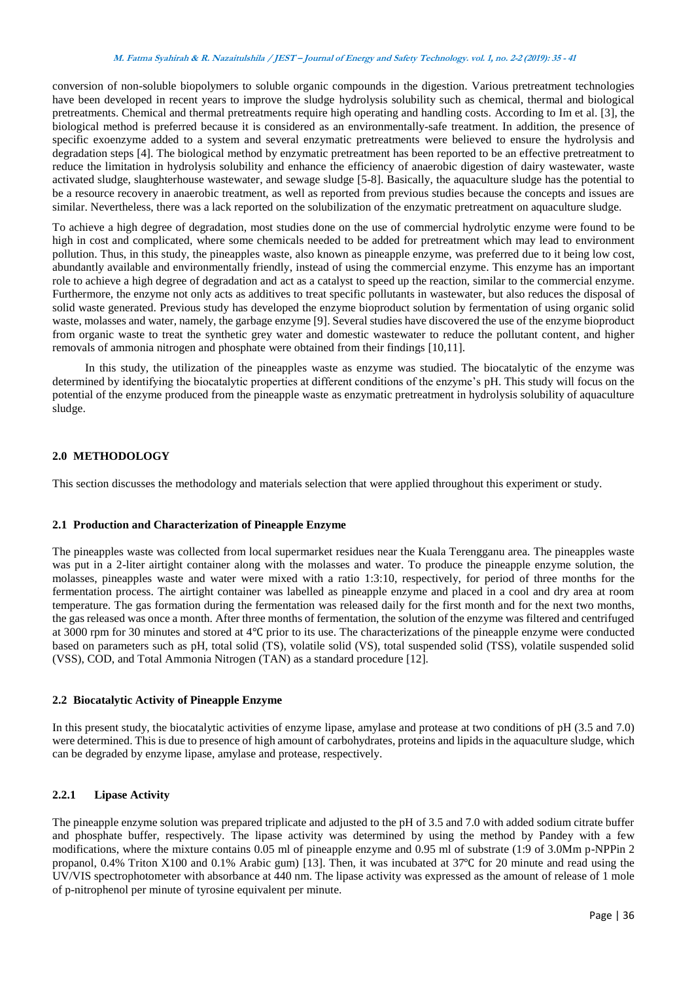#### **M. Fatma Syahirah & R. Nazaitulshila / JEST – Journal of Energy and Safety Technology. vol. 1, no. 2-2 (2019): <sup>35</sup> - <sup>41</sup>**

conversion of non-soluble biopolymers to soluble organic compounds in the digestion. Various pretreatment technologies have been developed in recent years to improve the sludge hydrolysis solubility such as chemical, thermal and biological pretreatments. Chemical and thermal pretreatments require high operating and handling costs. According to Im et al. [3], the biological method is preferred because it is considered as an environmentally-safe treatment. In addition, the presence of specific exoenzyme added to a system and several enzymatic pretreatments were believed to ensure the hydrolysis and degradation steps [4]. The biological method by enzymatic pretreatment has been reported to be an effective pretreatment to reduce the limitation in hydrolysis solubility and enhance the efficiency of anaerobic digestion of dairy wastewater, waste activated sludge, slaughterhouse wastewater, and sewage sludge [5-8]. Basically, the aquaculture sludge has the potential to be a resource recovery in anaerobic treatment, as well as reported from previous studies because the concepts and issues are similar. Nevertheless, there was a lack reported on the solubilization of the enzymatic pretreatment on aquaculture sludge.

To achieve a high degree of degradation, most studies done on the use of commercial hydrolytic enzyme were found to be high in cost and complicated, where some chemicals needed to be added for pretreatment which may lead to environment pollution. Thus, in this study, the pineapples waste, also known as pineapple enzyme, was preferred due to it being low cost, abundantly available and environmentally friendly, instead of using the commercial enzyme. This enzyme has an important role to achieve a high degree of degradation and act as a catalyst to speed up the reaction, similar to the commercial enzyme. Furthermore, the enzyme not only acts as additives to treat specific pollutants in wastewater, but also reduces the disposal of solid waste generated. Previous study has developed the enzyme bioproduct solution by fermentation of using organic solid waste, molasses and water, namely, the garbage enzyme [9]. Several studies have discovered the use of the enzyme bioproduct from organic waste to treat the synthetic grey water and domestic wastewater to reduce the pollutant content, and higher removals of ammonia nitrogen and phosphate were obtained from their findings [10,11].

In this study, the utilization of the pineapples waste as enzyme was studied. The biocatalytic of the enzyme was determined by identifying the biocatalytic properties at different conditions of the enzyme's pH. This study will focus on the potential of the enzyme produced from the pineapple waste as enzymatic pretreatment in hydrolysis solubility of aquaculture sludge.

## **2.0 METHODOLOGY**

This section discusses the methodology and materials selection that were applied throughout this experiment or study.

### **2.1 Production and Characterization of Pineapple Enzyme**

The pineapples waste was collected from local supermarket residues near the Kuala Terengganu area. The pineapples waste was put in a 2-liter airtight container along with the molasses and water. To produce the pineapple enzyme solution, the molasses, pineapples waste and water were mixed with a ratio 1:3:10, respectively, for period of three months for the fermentation process. The airtight container was labelled as pineapple enzyme and placed in a cool and dry area at room temperature. The gas formation during the fermentation was released daily for the first month and for the next two months, the gas released was once a month. After three months of fermentation, the solution of the enzyme was filtered and centrifuged at 3000 rpm for 30 minutes and stored at 4℃ prior to its use. The characterizations of the pineapple enzyme were conducted based on parameters such as pH, total solid (TS), volatile solid (VS), total suspended solid (TSS), volatile suspended solid (VSS), COD, and Total Ammonia Nitrogen (TAN) as a standard procedure [12].

### **2.2 Biocatalytic Activity of Pineapple Enzyme**

In this present study, the biocatalytic activities of enzyme lipase, amylase and protease at two conditions of pH (3.5 and 7.0) were determined. This is due to presence of high amount of carbohydrates, proteins and lipids in the aquaculture sludge, which can be degraded by enzyme lipase, amylase and protease, respectively.

# **2.2.1 Lipase Activity**

The pineapple enzyme solution was prepared triplicate and adjusted to the pH of 3.5 and 7.0 with added sodium citrate buffer and phosphate buffer, respectively. The lipase activity was determined by using the method by Pandey with a few modifications, where the mixture contains 0.05 ml of pineapple enzyme and 0.95 ml of substrate (1:9 of 3.0Mm p-NPPin 2 propanol, 0.4% Triton X100 and 0.1% Arabic gum) [13]. Then, it was incubated at 37℃ for 20 minute and read using the UV/VIS spectrophotometer with absorbance at 440 nm. The lipase activity was expressed as the amount of release of 1 mole of p-nitrophenol per minute of tyrosine equivalent per minute.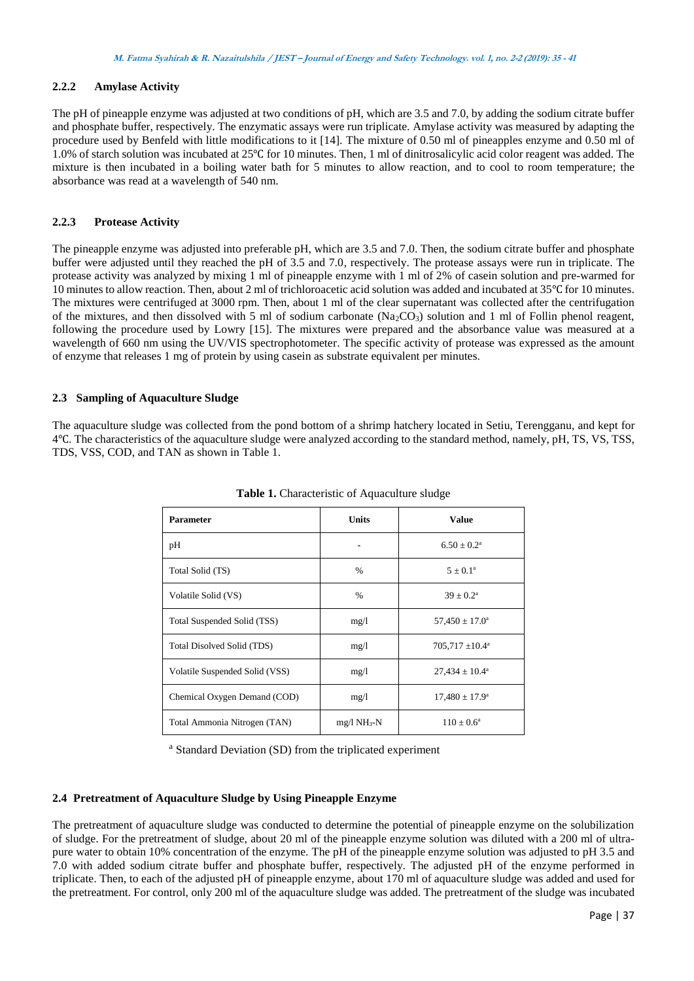# **2.2.2 Amylase Activity**

The pH of pineapple enzyme was adjusted at two conditions of pH, which are 3.5 and 7.0, by adding the sodium citrate buffer and phosphate buffer, respectively. The enzymatic assays were run triplicate. Amylase activity was measured by adapting the procedure used by Benfeld with little modifications to it [14]. The mixture of 0.50 ml of pineapples enzyme and 0.50 ml of 1.0% of starch solution was incubated at 25℃ for 10 minutes. Then, 1 ml of dinitrosalicylic acid color reagent was added. The mixture is then incubated in a boiling water bath for 5 minutes to allow reaction, and to cool to room temperature; the absorbance was read at a wavelength of 540 nm.

### **2.2.3 Protease Activity**

The pineapple enzyme was adjusted into preferable pH, which are 3.5 and 7.0. Then, the sodium citrate buffer and phosphate buffer were adjusted until they reached the pH of 3.5 and 7.0, respectively. The protease assays were run in triplicate. The protease activity was analyzed by mixing 1 ml of pineapple enzyme with 1 ml of 2% of casein solution and pre-warmed for 10 minutes to allow reaction. Then, about 2 ml of trichloroacetic acid solution was added and incubated at 35℃ for 10 minutes. The mixtures were centrifuged at 3000 rpm. Then, about 1 ml of the clear supernatant was collected after the centrifugation of the mixtures, and then dissolved with 5 ml of sodium carbonate (Na<sub>2</sub>CO<sub>3</sub>) solution and 1 ml of Follin phenol reagent, following the procedure used by Lowry [15]. The mixtures were prepared and the absorbance value was measured at a wavelength of 660 nm using the UV/VIS spectrophotometer. The specific activity of protease was expressed as the amount of enzyme that releases 1 mg of protein by using casein as substrate equivalent per minutes.

### **2.3 Sampling of Aquaculture Sludge**

The aquaculture sludge was collected from the pond bottom of a shrimp hatchery located in Setiu, Terengganu, and kept for 4℃. The characteristics of the aquaculture sludge were analyzed according to the standard method, namely, pH, TS, VS, TSS, TDS, VSS, COD, and TAN as shown in Table 1.

| <b>Parameter</b>               | <b>Units</b> | <b>Value</b>               |
|--------------------------------|--------------|----------------------------|
| pH                             |              | $6.50 \pm 0.2^{\rm a}$     |
| Total Solid (TS)               | $\%$         | $5 \pm 0.1^{\circ}$        |
| Volatile Solid (VS)            | $\%$         | $39 \pm 0.2^{\rm a}$       |
| Total Suspended Solid (TSS)    | mg/1         | $57,450 \pm 17.0^{\circ}$  |
| Total Disolved Solid (TDS)     | mg/1         | $705,717 \pm 10.4^{\circ}$ |
| Volatile Suspended Solid (VSS) | mg/1         | $27,434 \pm 10.4^{\circ}$  |
| Chemical Oxygen Demand (COD)   | mg/1         | $17,480 \pm 17.9^{\circ}$  |
| Total Ammonia Nitrogen (TAN)   | $mg/l NH3-N$ | $110 \pm 0.6^{\circ}$      |

**Table 1.** Characteristic of Aquaculture sludge

<sup>a</sup> Standard Deviation (SD) from the triplicated experiment

# **2.4 Pretreatment of Aquaculture Sludge by Using Pineapple Enzyme**

The pretreatment of aquaculture sludge was conducted to determine the potential of pineapple enzyme on the solubilization of sludge. For the pretreatment of sludge, about 20 ml of the pineapple enzyme solution was diluted with a 200 ml of ultrapure water to obtain 10% concentration of the enzyme. The pH of the pineapple enzyme solution was adjusted to pH 3.5 and 7.0 with added sodium citrate buffer and phosphate buffer, respectively. The adjusted pH of the enzyme performed in triplicate. Then, to each of the adjusted pH of pineapple enzyme, about 170 ml of aquaculture sludge was added and used for the pretreatment. For control, only 200 ml of the aquaculture sludge was added. The pretreatment of the sludge was incubated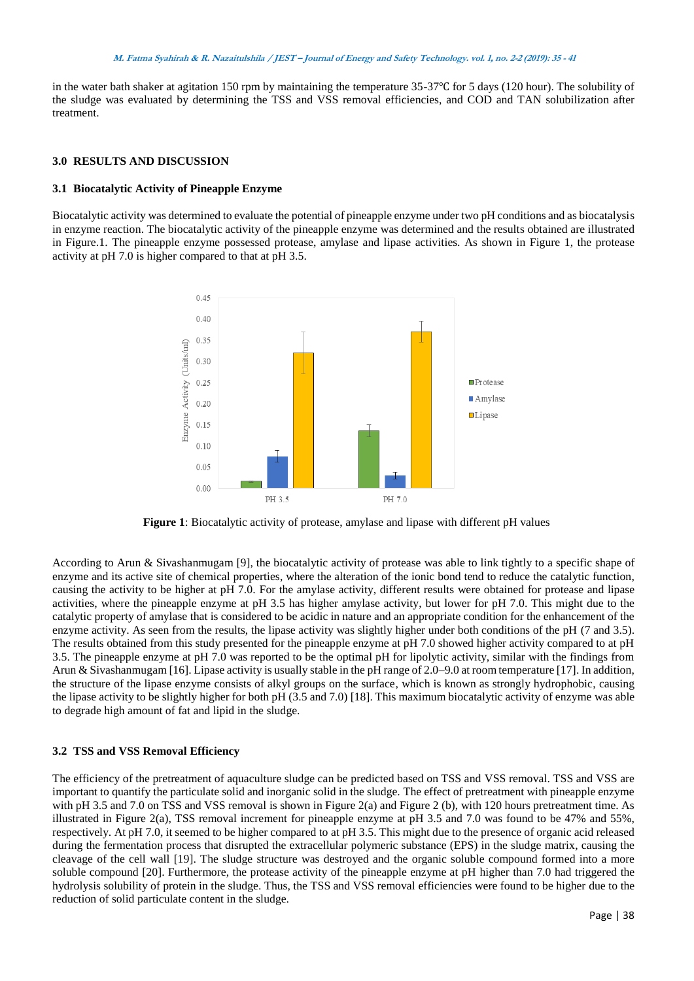in the water bath shaker at agitation 150 rpm by maintaining the temperature 35-37℃ for 5 days (120 hour). The solubility of the sludge was evaluated by determining the TSS and VSS removal efficiencies, and COD and TAN solubilization after treatment.

### **3.0 RESULTS AND DISCUSSION**

### **3.1 Biocatalytic Activity of Pineapple Enzyme**

Biocatalytic activity was determined to evaluate the potential of pineapple enzyme under two pH conditions and as biocatalysis in enzyme reaction. The biocatalytic activity of the pineapple enzyme was determined and the results obtained are illustrated in Figure.1. The pineapple enzyme possessed protease, amylase and lipase activities. As shown in Figure 1, the protease activity at pH 7.0 is higher compared to that at pH 3.5.



**Figure 1**: Biocatalytic activity of protease, amylase and lipase with different pH values

According to Arun & Sivashanmugam [9], the biocatalytic activity of protease was able to link tightly to a specific shape of enzyme and its active site of chemical properties, where the alteration of the ionic bond tend to reduce the catalytic function, causing the activity to be higher at pH 7.0. For the amylase activity, different results were obtained for protease and lipase activities, where the pineapple enzyme at pH 3.5 has higher amylase activity, but lower for pH 7.0. This might due to the catalytic property of amylase that is considered to be acidic in nature and an appropriate condition for the enhancement of the enzyme activity. As seen from the results, the lipase activity was slightly higher under both conditions of the pH (7 and 3.5). The results obtained from this study presented for the pineapple enzyme at pH 7.0 showed higher activity compared to at pH 3.5. The pineapple enzyme at pH 7.0 was reported to be the optimal pH for lipolytic activity, similar with the findings from Arun & Sivashanmugam [16]. Lipase activity is usually stable in the pH range of 2.0–9.0 at room temperature [17]. In addition, the structure of the lipase enzyme consists of alkyl groups on the surface, which is known as strongly hydrophobic, causing the lipase activity to be slightly higher for both pH (3.5 and 7.0) [18]. This maximum biocatalytic activity of enzyme was able to degrade high amount of fat and lipid in the sludge.

#### **3.2 TSS and VSS Removal Efficiency**

The efficiency of the pretreatment of aquaculture sludge can be predicted based on TSS and VSS removal. TSS and VSS are important to quantify the particulate solid and inorganic solid in the sludge. The effect of pretreatment with pineapple enzyme with pH 3.5 and 7.0 on TSS and VSS removal is shown in Figure 2(a) and Figure 2 (b), with 120 hours pretreatment time. As illustrated in Figure 2(a), TSS removal increment for pineapple enzyme at pH 3.5 and 7.0 was found to be 47% and 55%, respectively. At pH 7.0, it seemed to be higher compared to at pH 3.5. This might due to the presence of organic acid released during the fermentation process that disrupted the extracellular polymeric substance (EPS) in the sludge matrix, causing the cleavage of the cell wall [19]. The sludge structure was destroyed and the organic soluble compound formed into a more soluble compound [20]. Furthermore, the protease activity of the pineapple enzyme at pH higher than 7.0 had triggered the hydrolysis solubility of protein in the sludge. Thus, the TSS and VSS removal efficiencies were found to be higher due to the reduction of solid particulate content in the sludge.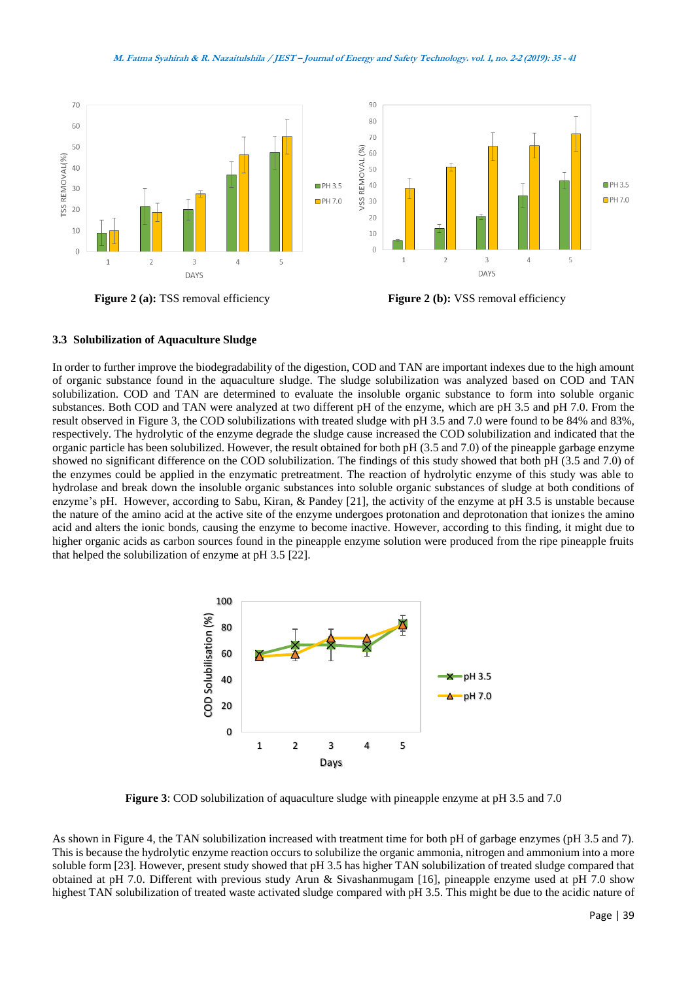#### **M. Fatma Syahirah & R. Nazaitulshila / JEST – Journal of Energy and Safety Technology. vol. 1, no. 2-2 (2019): <sup>35</sup> - <sup>41</sup>**



**Figure 2 (a):** TSS removal efficiency **Figure 2 (b):** VSS removal efficiency

#### **3.3 Solubilization of Aquaculture Sludge**

In order to further improve the biodegradability of the digestion, COD and TAN are important indexes due to the high amount of organic substance found in the aquaculture sludge. The sludge solubilization was analyzed based on COD and TAN solubilization. COD and TAN are determined to evaluate the insoluble organic substance to form into soluble organic substances. Both COD and TAN were analyzed at two different pH of the enzyme, which are pH 3.5 and pH 7.0. From the result observed in Figure 3, the COD solubilizations with treated sludge with pH 3.5 and 7.0 were found to be 84% and 83%, respectively. The hydrolytic of the enzyme degrade the sludge cause increased the COD solubilization and indicated that the organic particle has been solubilized. However, the result obtained for both pH (3.5 and 7.0) of the pineapple garbage enzyme showed no significant difference on the COD solubilization. The findings of this study showed that both pH (3.5 and 7.0) of the enzymes could be applied in the enzymatic pretreatment. The reaction of hydrolytic enzyme of this study was able to hydrolase and break down the insoluble organic substances into soluble organic substances of sludge at both conditions of enzyme's pH. However, according to Sabu, Kiran, & Pandey [21], the activity of the enzyme at pH 3.5 is unstable because the nature of the amino acid at the active site of the enzyme undergoes protonation and deprotonation that ionizes the amino acid and alters the ionic bonds, causing the enzyme to become inactive. However, according to this finding, it might due to higher organic acids as carbon sources found in the pineapple enzyme solution were produced from the ripe pineapple fruits that helped the solubilization of enzyme at pH 3.5 [22].



**Figure 3**: COD solubilization of aquaculture sludge with pineapple enzyme at pH 3.5 and 7.0

As shown in Figure 4, the TAN solubilization increased with treatment time for both pH of garbage enzymes (pH 3.5 and 7). This is because the hydrolytic enzyme reaction occurs to solubilize the organic ammonia, nitrogen and ammonium into a more soluble form [23]. However, present study showed that pH 3.5 has higher TAN solubilization of treated sludge compared that obtained at pH 7.0. Different with previous study Arun & Sivashanmugam [16], pineapple enzyme used at pH 7.0 show highest TAN solubilization of treated waste activated sludge compared with pH 3.5. This might be due to the acidic nature of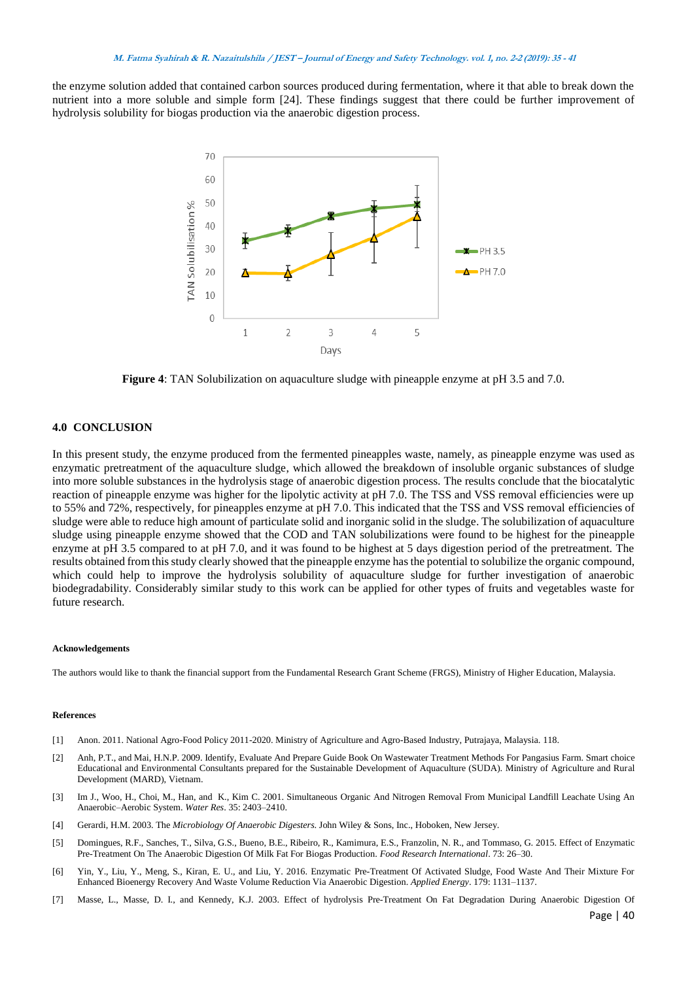the enzyme solution added that contained carbon sources produced during fermentation, where it that able to break down the nutrient into a more soluble and simple form [24]. These findings suggest that there could be further improvement of hydrolysis solubility for biogas production via the anaerobic digestion process.



**Figure 4**: TAN Solubilization on aquaculture sludge with pineapple enzyme at pH 3.5 and 7.0.

### **4.0 CONCLUSION**

In this present study, the enzyme produced from the fermented pineapples waste, namely, as pineapple enzyme was used as enzymatic pretreatment of the aquaculture sludge, which allowed the breakdown of insoluble organic substances of sludge into more soluble substances in the hydrolysis stage of anaerobic digestion process. The results conclude that the biocatalytic reaction of pineapple enzyme was higher for the lipolytic activity at pH 7.0. The TSS and VSS removal efficiencies were up to 55% and 72%, respectively, for pineapples enzyme at pH 7.0. This indicated that the TSS and VSS removal efficiencies of sludge were able to reduce high amount of particulate solid and inorganic solid in the sludge. The solubilization of aquaculture sludge using pineapple enzyme showed that the COD and TAN solubilizations were found to be highest for the pineapple enzyme at pH 3.5 compared to at pH 7.0, and it was found to be highest at 5 days digestion period of the pretreatment. The results obtained from this study clearly showed that the pineapple enzyme has the potential to solubilize the organic compound, which could help to improve the hydrolysis solubility of aquaculture sludge for further investigation of anaerobic biodegradability. Considerably similar study to this work can be applied for other types of fruits and vegetables waste for future research.

#### **Acknowledgements**

The authors would like to thank the financial support from the Fundamental Research Grant Scheme (FRGS), Ministry of Higher Education, Malaysia.

#### **References**

- [1] Anon. 2011. National Agro-Food Policy 2011-2020. Ministry of Agriculture and Agro-Based Industry, Putrajaya, Malaysia. 118.
- [2] Anh, P.T., and Mai, H.N.P. 2009. Identify, Evaluate And Prepare Guide Book On Wastewater Treatment Methods For Pangasius Farm. Smart choice Educational and Environmental Consultants prepared for the Sustainable Development of Aquaculture (SUDA). Ministry of Agriculture and Rural Development (MARD), Vietnam.
- [3] Im J., Woo, H., Choi, M., Han, and K., Kim C. 2001. Simultaneous Organic And Nitrogen Removal From Municipal Landfill Leachate Using An Anaerobic–Aerobic System. *Water Res*. 35: 2403–2410.
- [4] Gerardi, H.M. 2003. The *Microbiology Of Anaerobic Digesters*. John Wiley & Sons, Inc., Hoboken, New Jersey.
- [5] Domingues, R.F., Sanches, T., Silva, G.S., Bueno, B.E., Ribeiro, R., Kamimura, E.S., Franzolin, N. R., and Tommaso, G. 2015. Effect of Enzymatic Pre-Treatment On The Anaerobic Digestion Of Milk Fat For Biogas Production. *Food Research International*. 73: 26–30.
- [6] Yin, Y., Liu, Y., Meng, S., Kiran, E. U., and Liu, Y. 2016. Enzymatic Pre-Treatment Of Activated Sludge, Food Waste And Their Mixture For Enhanced Bioenergy Recovery And Waste Volume Reduction Via Anaerobic Digestion. *Applied Energy*. 179: 1131–1137.
- [7] Masse, L., Masse, D. I., and Kennedy, K.J. 2003. Effect of hydrolysis Pre-Treatment On Fat Degradation During Anaerobic Digestion Of